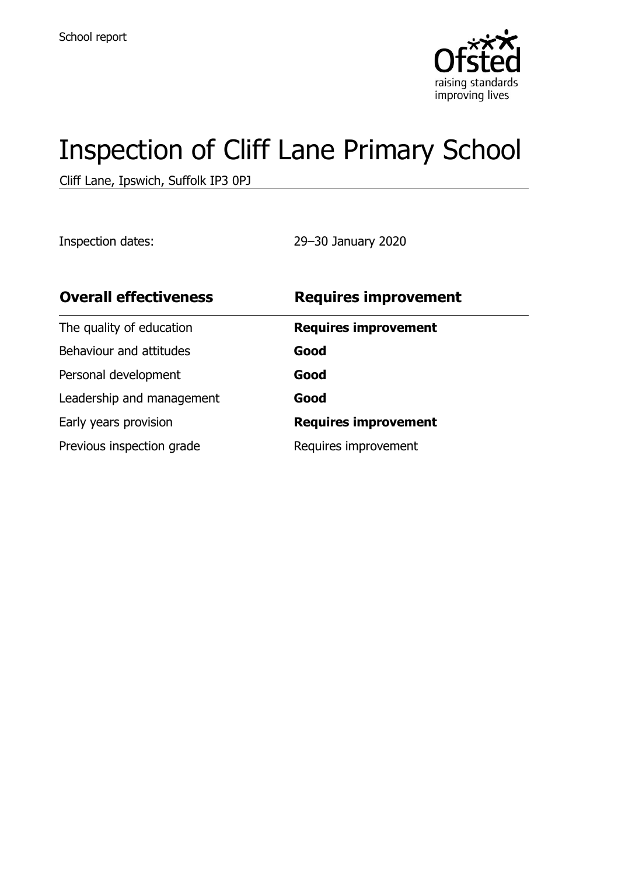

# Inspection of Cliff Lane Primary School

Cliff Lane, Ipswich, Suffolk IP3 0PJ

Inspection dates: 29–30 January 2020

| <b>Overall effectiveness</b> | <b>Requires improvement</b> |
|------------------------------|-----------------------------|
| The quality of education     | <b>Requires improvement</b> |
| Behaviour and attitudes      | Good                        |
| Personal development         | Good                        |
| Leadership and management    | Good                        |
| Early years provision        | <b>Requires improvement</b> |
| Previous inspection grade    | Requires improvement        |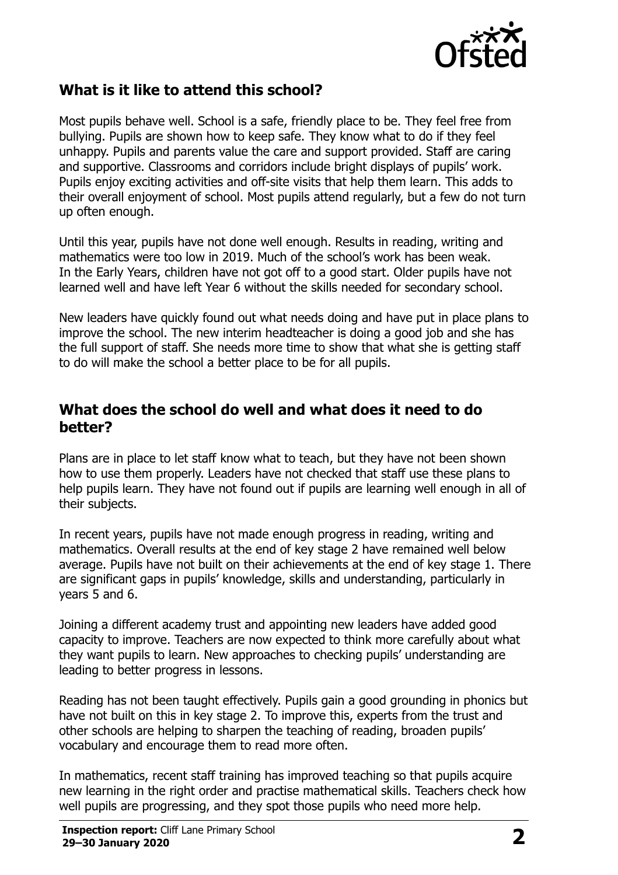

### **What is it like to attend this school?**

Most pupils behave well. School is a safe, friendly place to be. They feel free from bullying. Pupils are shown how to keep safe. They know what to do if they feel unhappy. Pupils and parents value the care and support provided. Staff are caring and supportive. Classrooms and corridors include bright displays of pupils' work. Pupils enjoy exciting activities and off-site visits that help them learn. This adds to their overall enjoyment of school. Most pupils attend regularly, but a few do not turn up often enough.

Until this year, pupils have not done well enough. Results in reading, writing and mathematics were too low in 2019. Much of the school's work has been weak. In the Early Years, children have not got off to a good start. Older pupils have not learned well and have left Year 6 without the skills needed for secondary school.

New leaders have quickly found out what needs doing and have put in place plans to improve the school. The new interim headteacher is doing a good job and she has the full support of staff. She needs more time to show that what she is getting staff to do will make the school a better place to be for all pupils.

#### **What does the school do well and what does it need to do better?**

Plans are in place to let staff know what to teach, but they have not been shown how to use them properly. Leaders have not checked that staff use these plans to help pupils learn. They have not found out if pupils are learning well enough in all of their subjects.

In recent years, pupils have not made enough progress in reading, writing and mathematics. Overall results at the end of key stage 2 have remained well below average. Pupils have not built on their achievements at the end of key stage 1. There are significant gaps in pupils' knowledge, skills and understanding, particularly in years 5 and 6.

Joining a different academy trust and appointing new leaders have added good capacity to improve. Teachers are now expected to think more carefully about what they want pupils to learn. New approaches to checking pupils' understanding are leading to better progress in lessons.

Reading has not been taught effectively. Pupils gain a good grounding in phonics but have not built on this in key stage 2. To improve this, experts from the trust and other schools are helping to sharpen the teaching of reading, broaden pupils' vocabulary and encourage them to read more often.

In mathematics, recent staff training has improved teaching so that pupils acquire new learning in the right order and practise mathematical skills. Teachers check how well pupils are progressing, and they spot those pupils who need more help.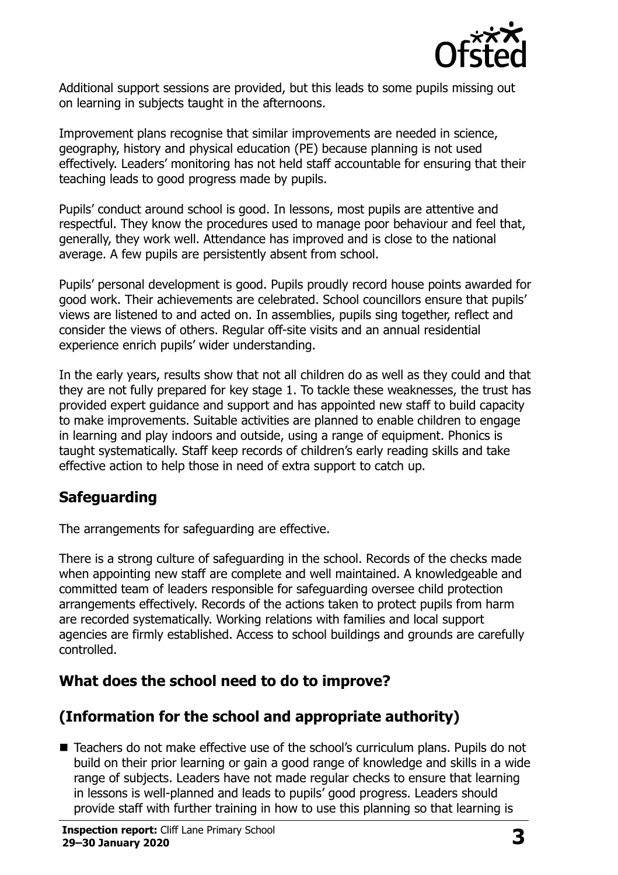

Additional support sessions are provided, but this leads to some pupils missing out on learning in subjects taught in the afternoons.

Improvement plans recognise that similar improvements are needed in science, geography, history and physical education (PE) because planning is not used effectively. Leaders' monitoring has not held staff accountable for ensuring that their teaching leads to good progress made by pupils.

Pupils' conduct around school is good. In lessons, most pupils are attentive and respectful. They know the procedures used to manage poor behaviour and feel that, generally, they work well. Attendance has improved and is close to the national average. A few pupils are persistently absent from school.

Pupils' personal development is good. Pupils proudly record house points awarded for good work. Their achievements are celebrated. School councillors ensure that pupils' views are listened to and acted on. In assemblies, pupils sing together, reflect and consider the views of others. Regular off-site visits and an annual residential experience enrich pupils' wider understanding.

In the early years, results show that not all children do as well as they could and that they are not fully prepared for key stage 1. To tackle these weaknesses, the trust has provided expert guidance and support and has appointed new staff to build capacity to make improvements. Suitable activities are planned to enable children to engage in learning and play indoors and outside, using a range of equipment. Phonics is taught systematically. Staff keep records of children's early reading skills and take effective action to help those in need of extra support to catch up.

# **Safeguarding**

The arrangements for safeguarding are effective.

There is a strong culture of safeguarding in the school. Records of the checks made when appointing new staff are complete and well maintained. A knowledgeable and committed team of leaders responsible for safeguarding oversee child protection arrangements effectively. Records of the actions taken to protect pupils from harm are recorded systematically. Working relations with families and local support agencies are firmly established. Access to school buildings and grounds are carefully controlled.

# **What does the school need to do to improve?**

# **(Information for the school and appropriate authority)**

■ Teachers do not make effective use of the school's curriculum plans. Pupils do not build on their prior learning or gain a good range of knowledge and skills in a wide range of subjects. Leaders have not made regular checks to ensure that learning in lessons is well-planned and leads to pupils' good progress. Leaders should provide staff with further training in how to use this planning so that learning is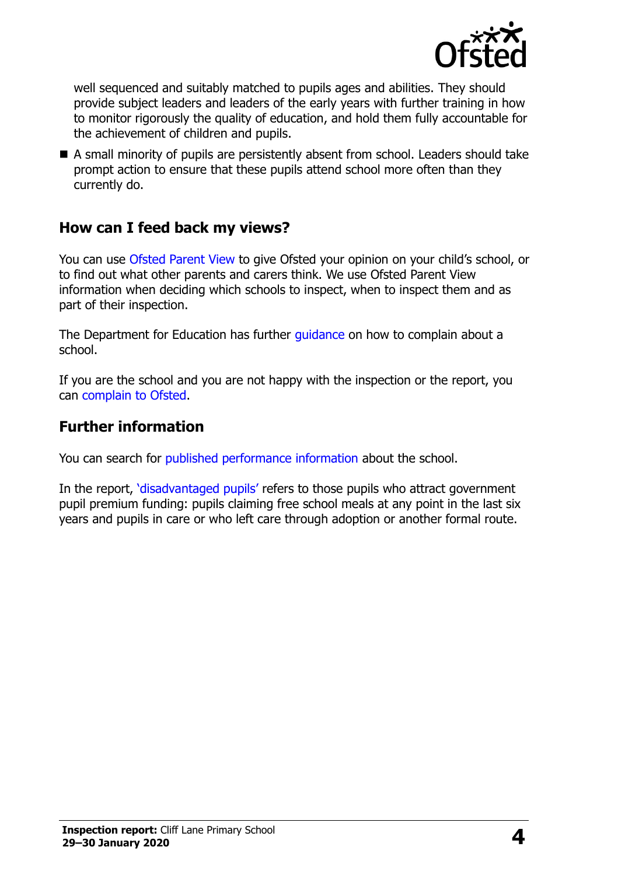

well sequenced and suitably matched to pupils ages and abilities. They should provide subject leaders and leaders of the early years with further training in how to monitor rigorously the quality of education, and hold them fully accountable for the achievement of children and pupils.

 A small minority of pupils are persistently absent from school. Leaders should take prompt action to ensure that these pupils attend school more often than they currently do.

### **How can I feed back my views?**

You can use [Ofsted Parent View](http://parentview.ofsted.gov.uk/) to give Ofsted your opinion on your child's school, or to find out what other parents and carers think. We use Ofsted Parent View information when deciding which schools to inspect, when to inspect them and as part of their inspection.

The Department for Education has further quidance on how to complain about a school.

If you are the school and you are not happy with the inspection or the report, you can [complain to Ofsted.](http://www.gov.uk/complain-ofsted-report)

#### **Further information**

You can search for [published performance information](http://www.compare-school-performance.service.gov.uk/) about the school.

In the report, '[disadvantaged pupils](http://www.gov.uk/guidance/pupil-premium-information-for-schools-and-alternative-provision-settings)' refers to those pupils who attract government pupil premium funding: pupils claiming free school meals at any point in the last six years and pupils in care or who left care through adoption or another formal route.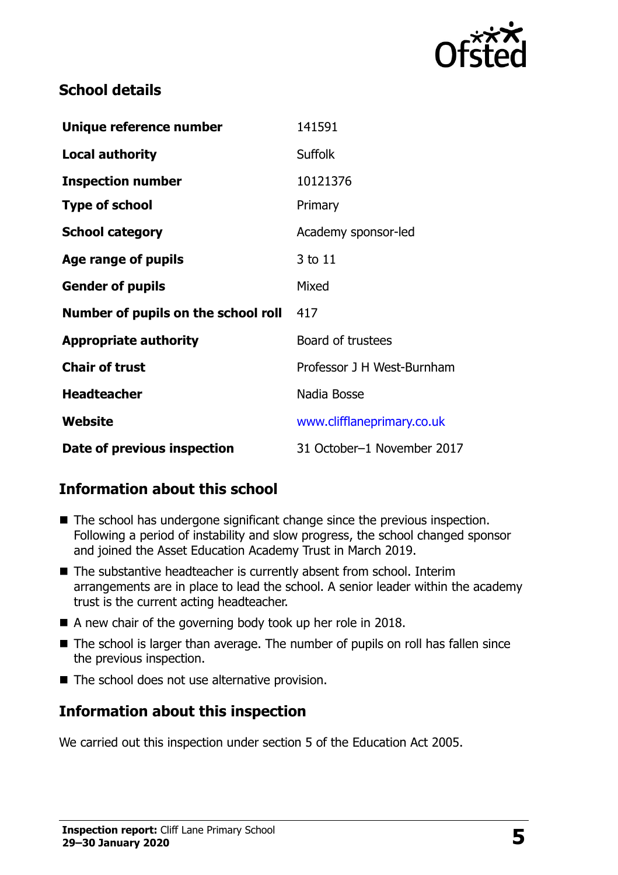

### **School details**

| Unique reference number             | 141591                     |
|-------------------------------------|----------------------------|
| <b>Local authority</b>              | <b>Suffolk</b>             |
| <b>Inspection number</b>            | 10121376                   |
| <b>Type of school</b>               | Primary                    |
| <b>School category</b>              | Academy sponsor-led        |
| Age range of pupils                 | 3 to 11                    |
| <b>Gender of pupils</b>             | Mixed                      |
| Number of pupils on the school roll | 417                        |
| <b>Appropriate authority</b>        | <b>Board of trustees</b>   |
| <b>Chair of trust</b>               | Professor J H West-Burnham |
| <b>Headteacher</b>                  | Nadia Bosse                |
| Website                             | www.clifflaneprimary.co.uk |
| Date of previous inspection         | 31 October-1 November 2017 |

# **Information about this school**

- The school has undergone significant change since the previous inspection. Following a period of instability and slow progress, the school changed sponsor and joined the Asset Education Academy Trust in March 2019.
- The substantive headteacher is currently absent from school. Interim arrangements are in place to lead the school. A senior leader within the academy trust is the current acting headteacher.
- A new chair of the governing body took up her role in 2018.
- The school is larger than average. The number of pupils on roll has fallen since the previous inspection.
- $\blacksquare$  The school does not use alternative provision.

# **Information about this inspection**

We carried out this inspection under section 5 of the Education Act 2005.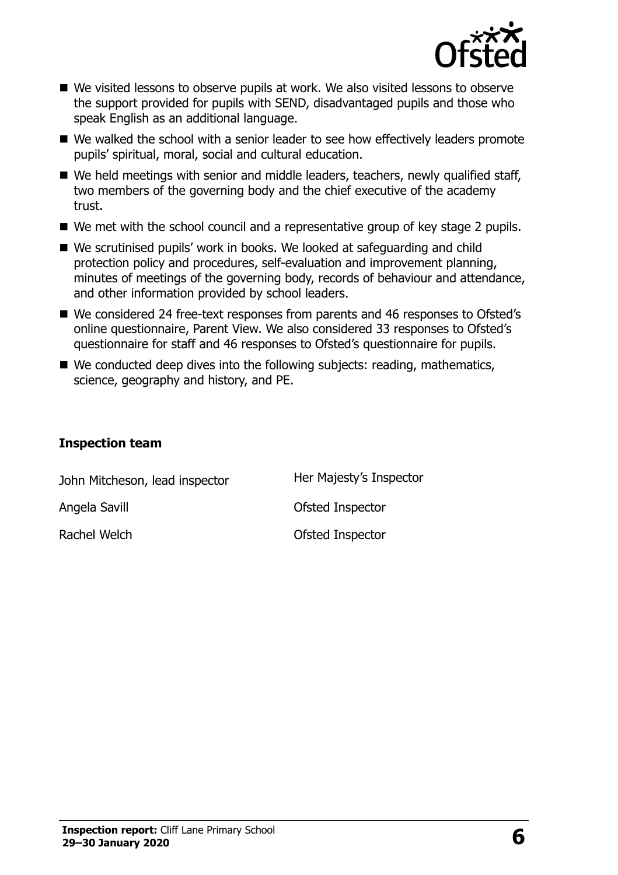

- We visited lessons to observe pupils at work. We also visited lessons to observe the support provided for pupils with SEND, disadvantaged pupils and those who speak English as an additional language.
- We walked the school with a senior leader to see how effectively leaders promote pupils' spiritual, moral, social and cultural education.
- We held meetings with senior and middle leaders, teachers, newly qualified staff, two members of the governing body and the chief executive of the academy trust.
- We met with the school council and a representative group of key stage 2 pupils.
- We scrutinised pupils' work in books. We looked at safeguarding and child protection policy and procedures, self-evaluation and improvement planning, minutes of meetings of the governing body, records of behaviour and attendance, and other information provided by school leaders.
- We considered 24 free-text responses from parents and 46 responses to Ofsted's online questionnaire, Parent View. We also considered 33 responses to Ofsted's questionnaire for staff and 46 responses to Ofsted's questionnaire for pupils.
- We conducted deep dives into the following subjects: reading, mathematics, science, geography and history, and PE.

#### **Inspection team**

| John Mitcheson, lead inspector | Her Majesty's Inspector |
|--------------------------------|-------------------------|
| Angela Savill                  | Ofsted Inspector        |
| Rachel Welch                   | Ofsted Inspector        |